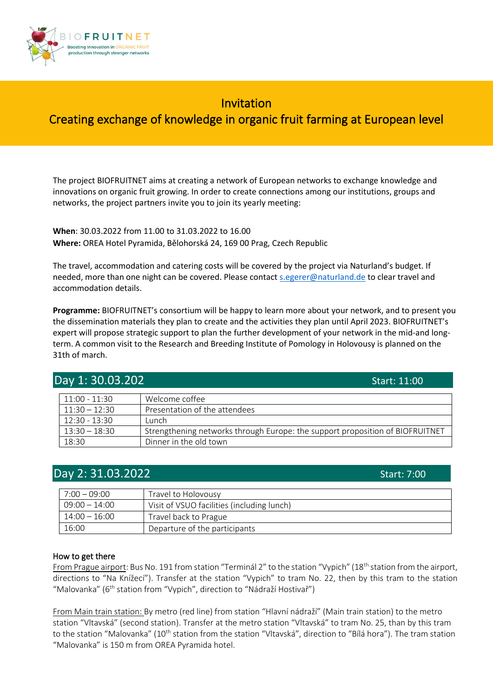

# Invitation Creating exchange of knowledge in organic fruit farming at European level

The project BIOFRUITNET aims at creating a network of European networks to exchange knowledge and innovations on organic fruit growing. In order to create connections among our institutions, groups and networks, the project partners invite you to join its yearly meeting:

**When**: 30.03.2022 from 11.00 to 31.03.2022 to 16.00 **Where:** OREA Hotel Pyramida, Bělohorská 24, 169 00 Prag, Czech Republic

The travel, accommodation and catering costs will be covered by the project via Naturland's budget. If needed, more than one night can be covered. Please contac[t s.egerer@naturland.de](mailto:s.egerer@naturland.de) to clear travel and accommodation details.

**Programme:** BIOFRUITNET's consortium will be happy to learn more about your network, and to present you the dissemination materials they plan to create and the activities they plan until April 2023. BIOFRUITNET's expert will propose strategic support to plan the further development of your network in the mid-and longterm. A common visit to the Research and Breeding Institute of Pomology in Holovousy is planned on the 31th of march.

| Day 1: 30.03.202<br>Start: 11:00 |                                                                               |  |
|----------------------------------|-------------------------------------------------------------------------------|--|
| $11:00 - 11:30$                  | Welcome coffee                                                                |  |
| $11:30 - 12:30$                  | Presentation of the attendees                                                 |  |
| $12:30 - 13:30$                  | Lunch.                                                                        |  |
| $13:30 - 18:30$                  | Strengthening networks through Europe: the support proposition of BIOFRUITNET |  |
| 18:30                            | Dinner in the old town                                                        |  |

## **Day 2: 31.03.2022** Start: 7:00

| $7:00 - 09:00$  | Travel to Holovousy                        |  |
|-----------------|--------------------------------------------|--|
| $09:00 - 14:00$ | Visit of VSUO facilities (including lunch) |  |
| $14:00 - 16:00$ | Travel back to Prague                      |  |
| 16:00           | Departure of the participants              |  |

### How to get there

From Prague airport: Bus No. 191 from station "Terminál 2" to the station "Vypich" (18<sup>th</sup> station from the airport, directions to "Na Knížecí"). Transfer at the station "Vypich" to tram No. 22, then by this tram to the station "Malovanka" ( $6<sup>th</sup>$  station from "Vypich", direction to "Nádraží Hostivař")

From Main train station: By metro (red line) from station "Hlavní nádraží" (Main train station) to the metro station "Vltavská" (second station). Transfer at the metro station "Vltavská" to tram No. 25, than by this tram to the station "Malovanka" (10<sup>th</sup> station from the station "Vltavská", direction to "Bílá hora"). The tram station "Malovanka" is 150 m from OREA Pyramida hotel.